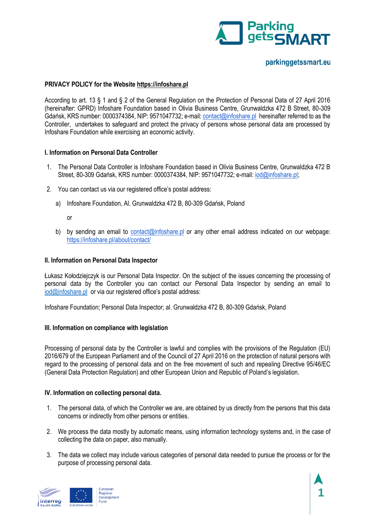

## **PRIVACY POLICY for the Website [https://infoshare.pl](https://infoshare.pl/)**

According to art. 13 § 1 and § 2 of the General Regulation on the Protection of Personal Data of 27 April 2016 (hereinafter: GPRD) Infoshare Foundation based in Olivia Business Centre, Grunwaldzka 472 B Street, 80-309 Gdańsk, KRS number: 0000374384, NIP: 9571047732; e-mail[: contact@infoshare.pl](mailto:contact@infoshare.pl) hereinafter referred to as the Controller, undertakes to safeguard and protect the privacy of persons whose personal data are processed by Infoshare Foundation while exercising an economic activity.

## **I. Information on Personal Data Controller**

- 1. The Personal Data Controller is Infoshare Foundation based in Olivia Business Centre, Grunwaldzka 472 B Street, 80-309 Gdańsk, KRS number: 0000374384, NIP: 9571047732; e-mail[: iod@infoshare.pl;](mailto:iod@infoshare.pl)
- 2. You can contact us via our registered office's postal address:
	- a) Infoshare Foundation, Al. Grunwaldzka 472 B, 80-309 Gdańsk, Poland

or

b) by sending an email to [contact@infoshare.pl](mailto:contact@infoshare.pl) or any other email address indicated on our webpage: <https://infoshare.pl/about/contact/>

## **II. Information on Personal Data Inspector**

Łukasz Kołodziejczyk is our Personal Data Inspector. On the subject of the issues concerning the processing of personal data by the Controller you can contact our Personal Data Inspector by sending an email to [iod@infoshare.pl](mailto:iod@infoshare.pl) or via our registered office's postal address:

Infoshare Foundation; Personal Data Inspector; al. Grunwaldzka 472 B, 80-309 Gdańsk, Poland

## **III. Information on compliance with legislation**

Processing of personal data by the Controller is lawful and complies with the provisions of the Regulation (EU) 2016/679 of the European Parliament and of the Council of 27 April 2016 on the protection of natural persons with regard to the processing of personal data and on the free movement of such and repealing Directive 95/46/EC (General Data Protection Regulation) and other European Union and Republic of Poland's legislation.

## **IV. Information on collecting personal data.**

- 1. The personal data, of which the Controller we are, are obtained by us directly from the persons that this data concerns or indirectly from other persons or entities.
- 2. We process the data mostly by automatic means, using information technology systems and, in the case of collecting the data on paper, also manually.
- 3. The data we collect may include various categories of personal data needed to pursue the process or for the purpose of processing personal data.

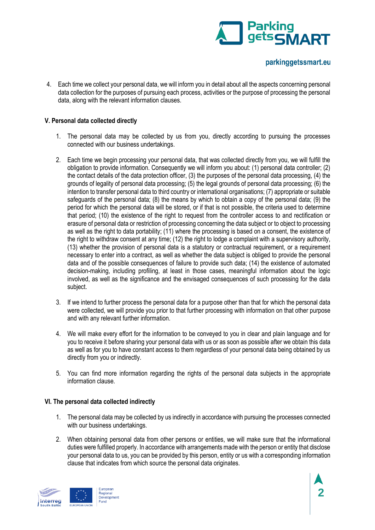

4. Each time we collect your personal data, we will inform you in detail about all the aspects concerning personal data collection for the purposes of pursuing each process, activities or the purpose of processing the personal data, along with the relevant information clauses.

## **V. Personal data collected directly**

- 1. The personal data may be collected by us from you, directly according to pursuing the processes connected with our business undertakings.
- 2. Each time we begin processing your personal data, that was collected directly from you, we will fulfill the obligation to provide information. Consequently we will inform you about: (1) personal data controller; (2) the contact details of the data protection officer, (3) the purposes of the personal data processing, (4) the grounds of legality of personal data processing; (5) the legal grounds of personal data processing; (6) the intention to transfer personal data to third country or international organisations; (7) appropriate or suitable safeguards of the personal data; (8) the means by which to obtain a copy of the personal data; (9) the period for which the personal data will be stored, or if that is not possible, the criteria used to determine that period; (10) the existence of the right to request from the controller access to and rectification or erasure of personal data or restriction of processing concerning the data subject or to object to processing as well as the right to data portability; (11) where the processing is based on a consent, the existence of the right to withdraw consent at any time; (12) the right to lodge a complaint with a supervisory authority, (13) whether the provision of personal data is a statutory or contractual requirement, or a requirement necessary to enter into a contract, as well as whether the data subject is obliged to provide the personal data and of the possible consequences of failure to provide such data; (14) the existence of automated decision-making, including profiling, at least in those cases, meaningful information about the logic involved, as well as the significance and the envisaged consequences of such processing for the data subject.
- 3. If we intend to further process the personal data for a purpose other than that for which the personal data were collected, we will provide you prior to that further processing with information on that other purpose and with any relevant further information.
- 4. We will make every effort for the information to be conveyed to you in clear and plain language and for you to receive it before sharing your personal data with us or as soon as possible after we obtain this data as well as for you to have constant access to them regardless of your personal data being obtained by us directly from you or indirectly.
- 5. You can find more information regarding the rights of the personal data subjects in the appropriate information clause.

## **VI. The personal data collected indirectly**

- 1. The personal data may be collected by us indirectly in accordance with pursuing the processes connected with our business undertakings.
- 2. When obtaining personal data from other persons or entities, we will make sure that the informational duties were fulfilled properly. In accordance with arrangements made with the person or entity that disclose your personal data to us, you can be provided by this person, entity or us with a corresponding information clause that indicates from which source the personal data originates.

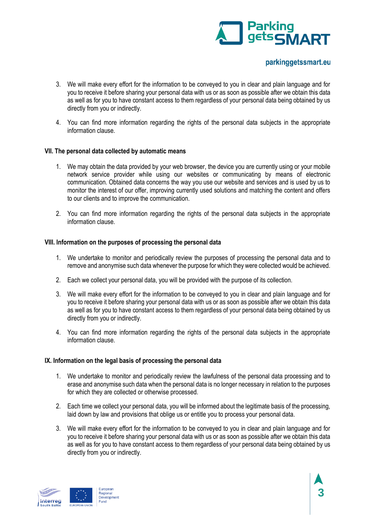

- 3. We will make every effort for the information to be conveyed to you in clear and plain language and for you to receive it before sharing your personal data with us or as soon as possible after we obtain this data as well as for you to have constant access to them regardless of your personal data being obtained by us directly from you or indirectly.
- 4. You can find more information regarding the rights of the personal data subjects in the appropriate information clause.

## **VII. The personal data collected by automatic means**

- 1. We may obtain the data provided by your web browser, the device you are currently using or your mobile network service provider while using our websites or communicating by means of electronic communication. Obtained data concerns the way you use our website and services and is used by us to monitor the interest of our offer, improving currently used solutions and matching the content and offers to our clients and to improve the communication.
- 2. You can find more information regarding the rights of the personal data subjects in the appropriate information clause.

## **VIII. Information on the purposes of processing the personal data**

- 1. We undertake to monitor and periodically review the purposes of processing the personal data and to remove and anonymise such data whenever the purpose for which they were collected would be achieved.
- 2. Each we collect your personal data, you will be provided with the purpose of its collection.
- 3. We will make every effort for the information to be conveyed to you in clear and plain language and for you to receive it before sharing your personal data with us or as soon as possible after we obtain this data as well as for you to have constant access to them regardless of your personal data being obtained by us directly from you or indirectly.
- 4. You can find more information regarding the rights of the personal data subjects in the appropriate information clause.

## **IX. Information on the legal basis of processing the personal data**

- 1. We undertake to monitor and periodically review the lawfulness of the personal data processing and to erase and anonymise such data when the personal data is no longer necessary in relation to the purposes for which they are collected or otherwise processed.
- 2. Each time we collect your personal data, you will be informed about the legitimate basis of the processing, laid down by law and provisions that oblige us or entitle you to process your personal data.
- 3. We will make every effort for the information to be conveyed to you in clear and plain language and for you to receive it before sharing your personal data with us or as soon as possible after we obtain this data as well as for you to have constant access to them regardless of your personal data being obtained by us directly from you or indirectly.

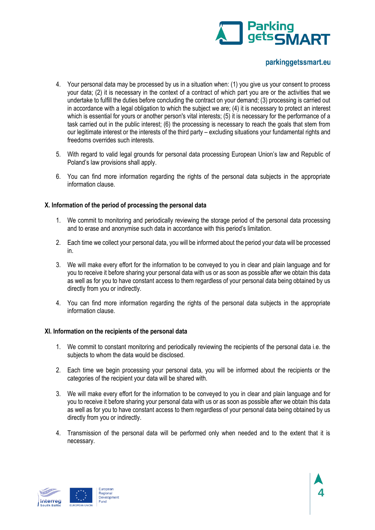

- 4. Your personal data may be processed by us in a situation when: (1) you give us your consent to process your data; (2) it is necessary in the context of a contract of which part you are or the activities that we undertake to fulfill the duties before concluding the contract on your demand; (3) processing is carried out in accordance with a legal obligation to which the subject we are; (4) it is necessary to protect an interest which is essential for yours or another person's vital interests; (5) it is necessary for the performance of a task carried out in the public interest; (6) the processing is necessary to reach the goals that stem from our legitimate interest or the interests of the third party – excluding situations your fundamental rights and freedoms overrides such interests.
- 5. With regard to valid legal grounds for personal data processing European Union's law and Republic of Poland's law provisions shall apply.
- 6. You can find more information regarding the rights of the personal data subjects in the appropriate information clause.

## **X. Information of the period of processing the personal data**

- 1. We commit to monitoring and periodically reviewing the storage period of the personal data processing and to erase and anonymise such data in accordance with this period's limitation.
- 2. Each time we collect your personal data, you will be informed about the period your data will be processed in.
- 3. We will make every effort for the information to be conveyed to you in clear and plain language and for you to receive it before sharing your personal data with us or as soon as possible after we obtain this data as well as for you to have constant access to them regardless of your personal data being obtained by us directly from you or indirectly.
- 4. You can find more information regarding the rights of the personal data subjects in the appropriate information clause.

## **XI. Information on the recipients of the personal data**

- 1. We commit to constant monitoring and periodically reviewing the recipients of the personal data i.e. the subjects to whom the data would be disclosed.
- 2. Each time we begin processing your personal data, you will be informed about the recipients or the categories of the recipient your data will be shared with.
- 3. We will make every effort for the information to be conveyed to you in clear and plain language and for you to receive it before sharing your personal data with us or as soon as possible after we obtain this data as well as for you to have constant access to them regardless of your personal data being obtained by us directly from you or indirectly.
- 4. Transmission of the personal data will be performed only when needed and to the extent that it is necessary.

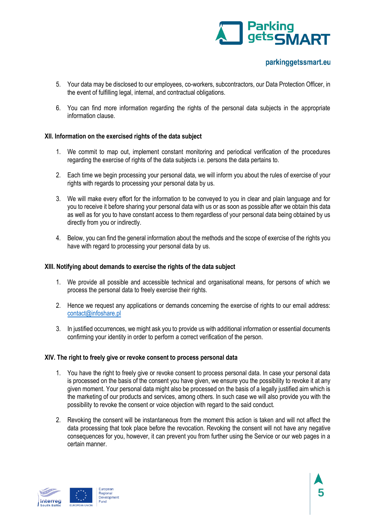

- 5. Your data may be disclosed to our employees, co-workers, subcontractors, our Data Protection Officer, in the event of fulfilling legal, internal, and contractual obligations.
- 6. You can find more information regarding the rights of the personal data subjects in the appropriate information clause.

## **XII. Information on the exercised rights of the data subject**

- 1. We commit to map out, implement constant monitoring and periodical verification of the procedures regarding the exercise of rights of the data subjects i.e. persons the data pertains to.
- 2. Each time we begin processing your personal data, we will inform you about the rules of exercise of your rights with regards to processing your personal data by us.
- 3. We will make every effort for the information to be conveyed to you in clear and plain language and for you to receive it before sharing your personal data with us or as soon as possible after we obtain this data as well as for you to have constant access to them regardless of your personal data being obtained by us directly from you or indirectly.
- 4. Below, you can find the general information about the methods and the scope of exercise of the rights you have with regard to processing your personal data by us.

## **XIII. Notifying about demands to exercise the rights of the data subject**

- 1. We provide all possible and accessible technical and organisational means, for persons of which we process the personal data to freely exercise their rights.
- 2. Hence we request any applications or demands concerning the exercise of rights to our email address: [contact@infoshare.pl](mailto:contact@infoshare.pl)
- 3. In justified occurrences, we might ask you to provide us with additional information or essential documents confirming your identity in order to perform a correct verification of the person.

## **XIV. The right to freely give or revoke consent to process personal data**

- 1. You have the right to freely give or revoke consent to process personal data. In case your personal data is processed on the basis of the consent you have given, we ensure you the possibility to revoke it at any given moment. Your personal data might also be processed on the basis of a legally justified aim which is the marketing of our products and services, among others. In such case we will also provide you with the possibility to revoke the consent or voice objection with regard to the said conduct.
- 2. Revoking the consent will be instantaneous from the moment this action is taken and will not affect the data processing that took place before the revocation. Revoking the consent will not have any negative consequences for you, however, it can prevent you from further using the Service or our web pages in a certain manner.

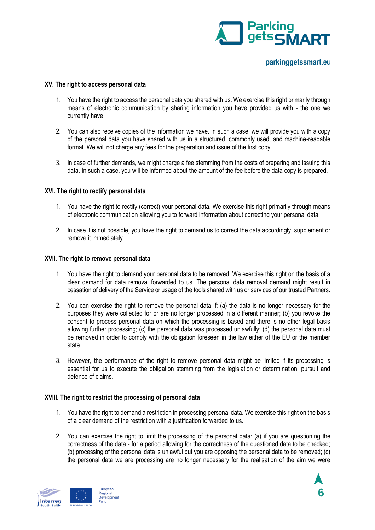

## **XV. The right to access personal data**

- 1. You have the right to access the personal data you shared with us. We exercise this right primarily through means of electronic communication by sharing information you have provided us with - the one we currently have.
- 2. You can also receive copies of the information we have. In such a case, we will provide you with a copy of the personal data you have shared with us in a structured, commonly used, and machine-readable format. We will not charge any fees for the preparation and issue of the first copy.
- 3. In case of further demands, we might charge a fee stemming from the costs of preparing and issuing this data. In such a case, you will be informed about the amount of the fee before the data copy is prepared.

#### **XVI. The right to rectify personal data**

- 1. You have the right to rectify (correct) your personal data. We exercise this right primarily through means of electronic communication allowing you to forward information about correcting your personal data.
- 2. In case it is not possible, you have the right to demand us to correct the data accordingly, supplement or remove it immediately.

#### **XVII. The right to remove personal data**

- 1. You have the right to demand your personal data to be removed. We exercise this right on the basis of a clear demand for data removal forwarded to us. The personal data removal demand might result in cessation of delivery of the Service or usage of the tools shared with us or services of our trusted Partners.
- 2. You can exercise the right to remove the personal data if: (a) the data is no longer necessary for the purposes they were collected for or are no longer processed in a different manner; (b) you revoke the consent to process personal data on which the processing is based and there is no other legal basis allowing further processing; (c) the personal data was processed unlawfully; (d) the personal data must be removed in order to comply with the obligation foreseen in the law either of the EU or the member state.
- 3. However, the performance of the right to remove personal data might be limited if its processing is essential for us to execute the obligation stemming from the legislation or determination, pursuit and defence of claims.

#### **XVIII. The right to restrict the processing of personal data**

- 1. You have the right to demand a restriction in processing personal data. We exercise this right on the basis of a clear demand of the restriction with a justification forwarded to us.
- 2. You can exercise the right to limit the processing of the personal data: (a) if you are questioning the correctness of the data - for a period allowing for the correctness of the questioned data to be checked; (b) processing of the personal data is unlawful but you are opposing the personal data to be removed; (c) the personal data we are processing are no longer necessary for the realisation of the aim we were

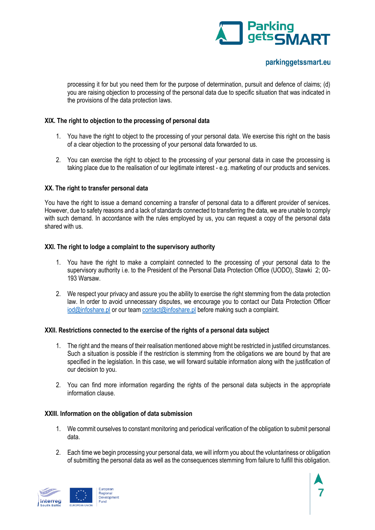

processing it for but you need them for the purpose of determination, pursuit and defence of claims; (d) you are raising objection to processing of the personal data due to specific situation that was indicated in the provisions of the data protection laws.

## **XIX. The right to objection to the processing of personal data**

- 1. You have the right to object to the processing of your personal data. We exercise this right on the basis of a clear objection to the processing of your personal data forwarded to us.
- 2. You can exercise the right to object to the processing of your personal data in case the processing is taking place due to the realisation of our legitimate interest - e.g. marketing of our products and services.

## **XX. The right to transfer personal data**

You have the right to issue a demand concerning a transfer of personal data to a different provider of services. However, due to safety reasons and a lack of standards connected to transferring the data, we are unable to comply with such demand. In accordance with the rules employed by us, you can request a copy of the personal data shared with us.

## **XXI. The right to lodge a complaint to the supervisory authority**

- 1. You have the right to make a complaint connected to the processing of your personal data to the supervisory authority i.e. to the President of the Personal Data Protection Office (UODO), Stawki 2; 00- 193 Warsaw.
- 2. We respect your privacy and assure you the ability to exercise the right stemming from the data protection law. In order to avoid unnecessary disputes, we encourage you to contact our Data Protection Officer [iod@infoshare.pl](mailto:iod@infoshare.pl) or our team [contact@infoshare.pl](mailto:contact@infoshare.pl) before making such a complaint.

## **XXII. Restrictions connected to the exercise of the rights of a personal data subject**

- 1. The right and the means of their realisation mentioned above might be restricted in justified circumstances. Such a situation is possible if the restriction is stemming from the obligations we are bound by that are specified in the legislation. In this case, we will forward suitable information along with the justification of our decision to you.
- 2. You can find more information regarding the rights of the personal data subjects in the appropriate information clause.

## **XXIII. Information on the obligation of data submission**

- 1. We commit ourselves to constant monitoring and periodical verification of the obligation to submit personal data.
- 2. Each time we begin processing your personal data, we will inform you about the voluntariness or obligation of submitting the personal data as well as the consequences stemming from failure to fulfill this obligation.

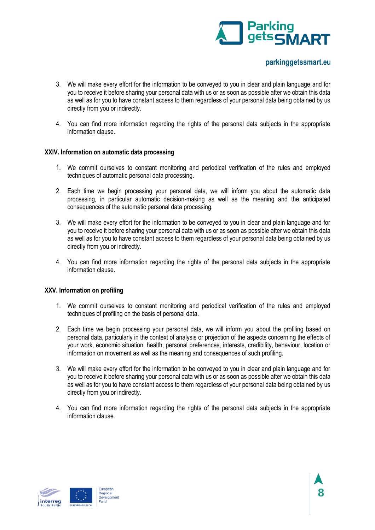

- 3. We will make every effort for the information to be conveyed to you in clear and plain language and for you to receive it before sharing your personal data with us or as soon as possible after we obtain this data as well as for you to have constant access to them regardless of your personal data being obtained by us directly from you or indirectly.
- 4. You can find more information regarding the rights of the personal data subjects in the appropriate information clause.

## **XXIV. Information on automatic data processing**

- 1. We commit ourselves to constant monitoring and periodical verification of the rules and employed techniques of automatic personal data processing.
- 2. Each time we begin processing your personal data, we will inform you about the automatic data processing, in particular automatic decision-making as well as the meaning and the anticipated consequences of the automatic personal data processing.
- 3. We will make every effort for the information to be conveyed to you in clear and plain language and for you to receive it before sharing your personal data with us or as soon as possible after we obtain this data as well as for you to have constant access to them regardless of your personal data being obtained by us directly from you or indirectly.
- 4. You can find more information regarding the rights of the personal data subjects in the appropriate information clause.

## **XXV. Information on profiling**

- 1. We commit ourselves to constant monitoring and periodical verification of the rules and employed techniques of profiling on the basis of personal data.
- 2. Each time we begin processing your personal data, we will inform you about the profiling based on personal data, particularly in the context of analysis or projection of the aspects concerning the effects of your work, economic situation, health, personal preferences, interests, credibility, behaviour, location or information on movement as well as the meaning and consequences of such profiling.
- 3. We will make every effort for the information to be conveyed to you in clear and plain language and for you to receive it before sharing your personal data with us or as soon as possible after we obtain this data as well as for you to have constant access to them regardless of your personal data being obtained by us directly from you or indirectly.
- 4. You can find more information regarding the rights of the personal data subjects in the appropriate information clause.

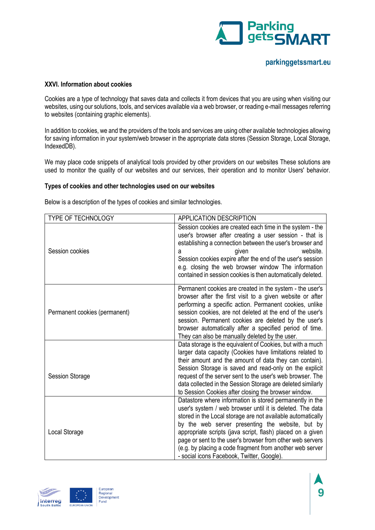

### **XXVI. Information about cookies**

Cookies are a type of technology that saves data and collects it from devices that you are using when visiting our websites, using our solutions, tools, and services available via a web browser, or reading e-mail messages referring to websites (containing graphic elements).

In addition to cookies, we and the providers of the tools and services are using other available technologies allowing for saving information in your system/web browser in the appropriate data stores (Session Storage, Local Storage, IndexedDB).

We may place code snippets of analytical tools provided by other providers on our websites These solutions are used to monitor the quality of our websites and our services, their operation and to monitor Users' behavior.

#### **Types of cookies and other technologies used on our websites**

Below is a description of the types of cookies and similar technologies.

| <b>TYPE OF TECHNOLOGY</b>     | <b>APPLICATION DESCRIPTION</b>                                                                                                                                                                                                                                                                                                                                                                                                                                                |
|-------------------------------|-------------------------------------------------------------------------------------------------------------------------------------------------------------------------------------------------------------------------------------------------------------------------------------------------------------------------------------------------------------------------------------------------------------------------------------------------------------------------------|
| Session cookies               | Session cookies are created each time in the system - the<br>user's browser after creating a user session - that is<br>establishing a connection between the user's browser and<br>website.<br>given<br>а<br>Session cookies expire after the end of the user's session<br>e.g. closing the web browser window The information<br>contained in session cookies is then automatically deleted.                                                                                 |
| Permanent cookies (permanent) | Permanent cookies are created in the system - the user's<br>browser after the first visit to a given website or after<br>performing a specific action. Permanent cookies, unlike<br>session cookies, are not deleted at the end of the user's<br>session. Permanent cookies are deleted by the user's<br>browser automatically after a specified period of time.<br>They can also be manually deleted by the user.                                                            |
| <b>Session Storage</b>        | Data storage is the equivalent of Cookies, but with a much<br>larger data capacity (Cookies have limitations related to<br>their amount and the amount of data they can contain).<br>Session Storage is saved and read-only on the explicit<br>request of the server sent to the user's web browser. The<br>data collected in the Session Storage are deleted similarly<br>to Session Cookies after closing the browser window.                                               |
| Local Storage                 | Datastore where information is stored permanently in the<br>user's system / web browser until it is deleted. The data<br>stored in the Local storage are not available automatically<br>by the web server presenting the website, but by<br>appropriate scripts (java script, flash) placed on a given<br>page or sent to the user's browser from other web servers<br>(e.g. by placing a code fragment from another web server<br>- social icons Facebook, Twitter, Google). |

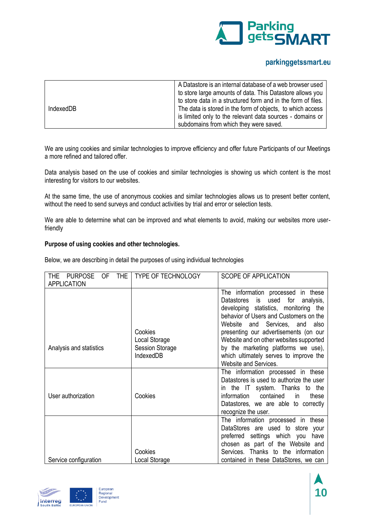

|           | A Datastore is an internal database of a web browser used    |
|-----------|--------------------------------------------------------------|
|           | to store large amounts of data. This Datastore allows you    |
|           | to store data in a structured form and in the form of files. |
| IndexedDB | The data is stored in the form of objects, to which access   |
|           | is limited only to the relevant data sources - domains or    |
|           | subdomains from which they were saved.                       |

We are using cookies and similar technologies to improve efficiency and offer future Participants of our Meetings a more refined and tailored offer.

Data analysis based on the use of cookies and similar technologies is showing us which content is the most interesting for visitors to our websites.

At the same time, the use of anonymous cookies and similar technologies allows us to present better content, without the need to send surveys and conduct activities by trial and error or selection tests.

We are able to determine what can be improved and what elements to avoid, making our websites more userfriendly

## **Purpose of using cookies and other technologies.**

Below, we are describing in detail the purposes of using individual technologies

| <b>THE</b><br><b>PURPOSE</b><br>0F<br>THE. | <b>TYPE OF TECHNOLOGY</b>           | <b>SCOPE OF APPLICATION</b>                                                                                       |
|--------------------------------------------|-------------------------------------|-------------------------------------------------------------------------------------------------------------------|
| <b>APPLICATION</b>                         |                                     | The information processed in these<br>is used for<br>Datastores<br>analysis,                                      |
|                                            |                                     | developing statistics, monitoring the<br>behavior of Users and Customers on the                                   |
|                                            | Cookies                             | Website and Services, and<br>also<br>presenting our advertisements (on our                                        |
|                                            | Local Storage                       | Website and on other websites supported                                                                           |
| Analysis and statistics                    | <b>Session Storage</b><br>IndexedDB | by the marketing platforms we use),                                                                               |
|                                            |                                     | which ultimately serves to improve the<br>Website and Services.                                                   |
|                                            |                                     | The information processed in these<br>Datastores is used to authorize the user<br>in the IT system. Thanks to the |
| User authorization                         | Cookies                             | information<br>contained<br>these<br><i>in</i>                                                                    |
|                                            |                                     | Datastores, we are able to correctly<br>recognize the user.                                                       |
|                                            |                                     | The information processed in these                                                                                |
|                                            |                                     | DataStores are used to store your<br>preferred settings which you<br>have                                         |
|                                            |                                     | chosen as part of the Website and                                                                                 |
|                                            | Cookies                             | Services. Thanks to the information                                                                               |
| Service configuration                      | Local Storage                       | contained in these DataStores, we can                                                                             |

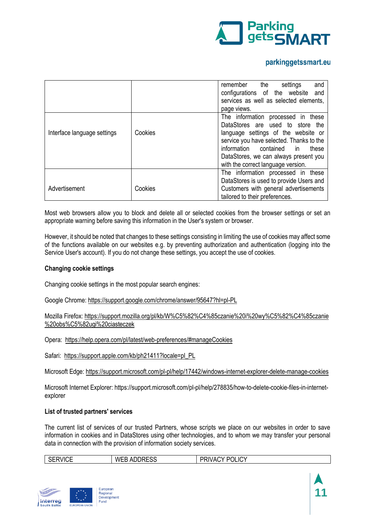

|                             |         | remember<br>the<br>settings<br>and       |
|-----------------------------|---------|------------------------------------------|
|                             |         | configurations of the website and        |
|                             |         | services as well as selected elements,   |
|                             |         | page views.                              |
|                             |         | The information processed in these       |
|                             |         | DataStores are used to store the         |
| Interface language settings | Cookies | language settings of the website or      |
|                             |         | service you have selected. Thanks to the |
|                             |         | information contained<br>these<br>in.    |
|                             |         | DataStores, we can always present you    |
|                             |         | with the correct language version.       |
|                             |         | The information processed in these       |
|                             |         | DataStores is used to provide Users and  |
| Advertisement               | Cookies | Customers with general advertisements    |
|                             |         | tailored to their preferences.           |

Most web browsers allow you to block and delete all or selected cookies from the browser settings or set an appropriate warning before saving this information in the User's system or browser.

However, it should be noted that changes to these settings consisting in limiting the use of cookies may affect some of the functions available on our websites e.g. by preventing authorization and authentication (logging into the Service User's account). If you do not change these settings, you accept the use of cookies.

## **Changing cookie settings**

Changing cookie settings in the most popular search engines:

Google Chrome[: https://support.google.com/chrome/answer/95647?hl=pl-PL](https://support.google.com/chrome/answer/95647?hl=pl-PL)

Mozilla Firefox: [https://support.mozilla.org/pl/kb/W%C5%82%C4%85czanie%20i%20wy%C5%82%C4%85czanie](https://support.mozilla.org/pl/kb/W%C5%82%C4%85czanie%20i%20wy%C5%82%C4%85czanie%20obs%C5%82ugi%20ciasteczek) [%20obs%C5%82ugi%20ciasteczek](https://support.mozilla.org/pl/kb/W%C5%82%C4%85czanie%20i%20wy%C5%82%C4%85czanie%20obs%C5%82ugi%20ciasteczek)

Opera:<https://help.opera.com/pl/latest/web-preferences/#manageCookies>

Safari: [https://support.apple.com/kb/ph21411?locale=pl\\_PL](https://support.apple.com/kb/ph21411?locale=pl_PL)

Microsoft Edge: <https://support.microsoft.com/pl-pl/help/17442/windows-internet-explorer-delete-manage-cookies>

Microsoft Internet Explorer: [https://support.microsoft.com/pl-pl/help/278835/how-to-delete-cookie-files-in-internet](https://support.microsoft.com/pl-pl/help/278835/how-to-delete-cookie-files-in-internet-explorer)[explorer](https://support.microsoft.com/pl-pl/help/278835/how-to-delete-cookie-files-in-internet-explorer)

## **List of trusted partners' services**

The current list of services of our trusted Partners, whose scripts we place on our websites in order to save information in cookies and in DataStores using other technologies, and to whom we may transfer your personal data in connection with the provision of information society services.

| <b>SERVICE</b> | <b>WEB ADDRESS</b> | PRIVACY POLICY |
|----------------|--------------------|----------------|
|----------------|--------------------|----------------|